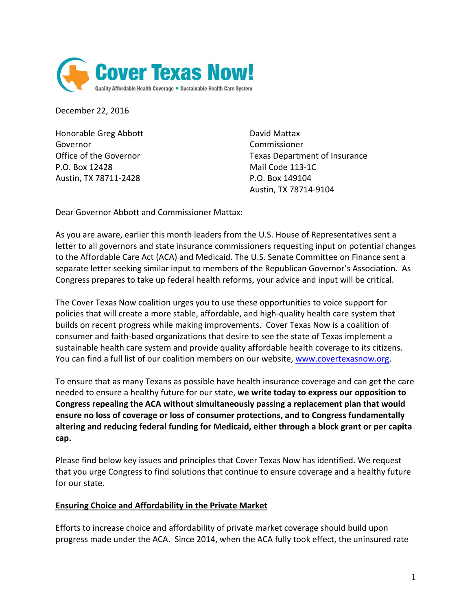

December 22, 2016

Honorable Greg Abbott David Mattax Governor Commissioner P.O. Box 12428 Mail Code 113-1C Austin, TX 78711-2428 P.O. Box 149104

Office of the Governor Texas Department of Insurance Austin, TX 78714-9104

Dear Governor Abbott and Commissioner Mattax:

As you are aware, earlier this month leaders from the U.S. House of Representatives sent a letter to all governors and state insurance commissioners requesting input on potential changes to the Affordable Care Act (ACA) and Medicaid. The U.S. Senate Committee on Finance sent a separate letter seeking similar input to members of the Republican Governor's Association. As Congress prepares to take up federal health reforms, your advice and input will be critical.

The Cover Texas Now coalition urges you to use these opportunities to voice support for policies that will create a more stable, affordable, and high-quality health care system that builds on recent progress while making improvements. Cover Texas Now is a coalition of consumer and faith-based organizations that desire to see the state of Texas implement a sustainable health care system and provide quality affordable health coverage to its citizens. You can find a full list of our coalition members on our website, [www.covertexasnow.org.](http://www.covertexasnow.org/)

To ensure that as many Texans as possible have health insurance coverage and can get the care needed to ensure a healthy future for our state, **we write today to express our opposition to Congress repealing the ACA without simultaneously passing a replacement plan that would ensure no loss of coverage or loss of consumer protections, and to Congress fundamentally altering and reducing federal funding for Medicaid, either through a block grant or per capita cap.**

Please find below key issues and principles that Cover Texas Now has identified. We request that you urge Congress to find solutions that continue to ensure coverage and a healthy future for our state.

# **Ensuring Choice and Affordability in the Private Market**

Efforts to increase choice and affordability of private market coverage should build upon progress made under the ACA. Since 2014, when the ACA fully took effect, the uninsured rate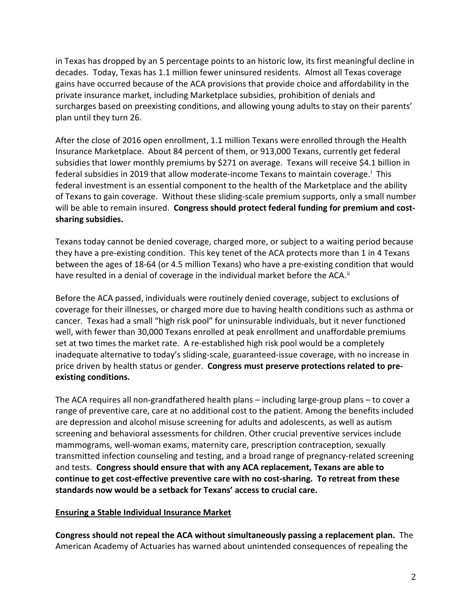in Texas has dropped by an 5 percentage points to an historic low, its first meaningful decline in decades. Today, Texas has 1.1 million fewer uninsured residents. Almost all Texas coverage gains have occurred because of the ACA provisions that provide choice and affordability in the private insurance market, including Marketplace subsidies, prohibition of denials and surcharges based on preexisting conditions, and allowing young adults to stay on their parents' plan until they turn 26.

After the close of 2016 open enrollment, 1.1 million Texans were enrolled through the Health Insurance Marketplace. About 84 percent of them, or 913,000 Texans, currently get federal subsidies that lower monthly premiums by \$271 on average. Texans will receive \$4.1 billion in federal subs[i](#page-6-0)dies in 2019 that allow moderate-income Texans to maintain coverage.<sup>i</sup> This federal investment is an essential component to the health of the Marketplace and the ability of Texans to gain coverage. Without these sliding-scale premium supports, only a small number will be able to remain insured. **Congress should protect federal funding for premium and costsharing subsidies.**

Texans today cannot be denied coverage, charged more, or subject to a waiting period because they have a pre-existing condition. This key tenet of the ACA protects more than 1 in 4 Texans between the ages of 18-64 (or 4.5 million Texans) who have a pre-existing condition that would have resulted in a denial of coverage in the individual market before the ACA.<sup>[ii](#page-6-1)</sup>

Before the ACA passed, individuals were routinely denied coverage, subject to exclusions of coverage for their illnesses, or charged more due to having health conditions such as asthma or cancer. Texas had a small "high risk pool" for uninsurable individuals, but it never functioned well, with fewer than 30,000 Texans enrolled at peak enrollment and unaffordable premiums set at two times the market rate. A re-established high risk pool would be a completely inadequate alternative to today's sliding-scale, guaranteed-issue coverage, with no increase in price driven by health status or gender. **Congress must preserve protections related to preexisting conditions.** 

The ACA requires all non-grandfathered health plans – including large-group plans – to cover a range of preventive care, care at no additional cost to the patient. Among the benefits included are depression and alcohol misuse screening for adults and adolescents, as well as autism screening and behavioral assessments for children. Other crucial preventive services include mammograms, well-woman exams, maternity care, prescription contraception, sexually transmitted infection counseling and testing, and a broad range of pregnancy-related screening and tests. **Congress should ensure that with any ACA replacement, Texans are able to continue to get cost-effective preventive care with no cost-sharing. To retreat from these standards now would be a setback for Texans' access to crucial care.**

# **Ensuring a Stable Individual Insurance Market**

**Congress should not repeal the ACA without simultaneously passing a replacement plan.** The American Academy of Actuaries has warned about unintended consequences of repealing the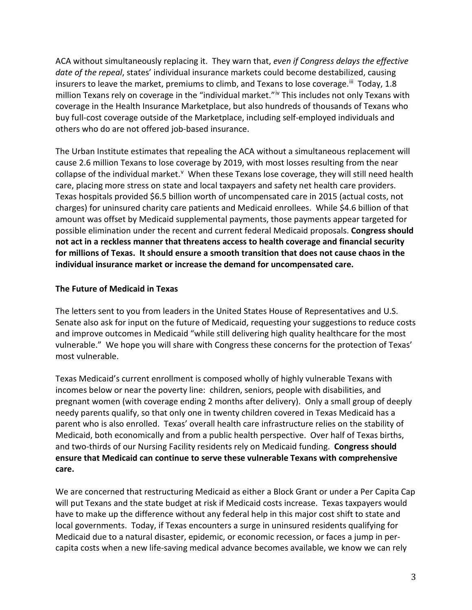ACA without simultaneously replacing it. They warn that, *even if Congress delays the effective date of the repeal*, states' individual insurance markets could become destabilized, causing insurers to leave the market, premiums to climb, and Texans to lose coverage.<sup>iii</sup> Today, 1.8 million Texans rely on coverage in the "ind[iv](#page-6-3)idual market."<sup>iv</sup> This includes not only Texans with coverage in the Health Insurance Marketplace, but also hundreds of thousands of Texans who buy full-cost coverage outside of the Marketplace, including self-employed individuals and others who do are not offered job-based insurance.

The Urban Institute estimates that repealing the ACA without a simultaneous replacement will cause 2.6 million Texans to lose coverage by 2019, with most losses resulting from the near collapse of the indi[v](#page-6-4)idual market.<sup>v</sup> When these Texans lose coverage, they will still need health care, placing more stress on state and local taxpayers and safety net health care providers. Texas hospitals provided \$6.5 billion worth of uncompensated care in 2015 (actual costs, not charges) for uninsured charity care patients and Medicaid enrollees. While \$4.6 billion of that amount was offset by Medicaid supplemental payments, those payments appear targeted for possible elimination under the recent and current federal Medicaid proposals. **Congress should not act in a reckless manner that threatens access to health coverage and financial security for millions of Texas. It should ensure a smooth transition that does not cause chaos in the individual insurance market or increase the demand for uncompensated care.**

# **The Future of Medicaid in Texas**

The letters sent to you from leaders in the United States House of Representatives and U.S. Senate also ask for input on the future of Medicaid, requesting your suggestions to reduce costs and improve outcomes in Medicaid "while still delivering high quality healthcare for the most vulnerable." We hope you will share with Congress these concerns for the protection of Texas' most vulnerable.

Texas Medicaid's current enrollment is composed wholly of highly vulnerable Texans with incomes below or near the poverty line: children, seniors, people with disabilities, and pregnant women (with coverage ending 2 months after delivery). Only a small group of deeply needy parents qualify, so that only one in twenty children covered in Texas Medicaid has a parent who is also enrolled. Texas' overall health care infrastructure relies on the stability of Medicaid, both economically and from a public health perspective. Over half of Texas births, and two-thirds of our Nursing Facility residents rely on Medicaid funding. **Congress should ensure that Medicaid can continue to serve these vulnerable Texans with comprehensive care.** 

We are concerned that restructuring Medicaid as either a Block Grant or under a Per Capita Cap will put Texans and the state budget at risk if Medicaid costs increase. Texas taxpayers would have to make up the difference without any federal help in this major cost shift to state and local governments. Today, if Texas encounters a surge in uninsured residents qualifying for Medicaid due to a natural disaster, epidemic, or economic recession, or faces a jump in percapita costs when a new life-saving medical advance becomes available, we know we can rely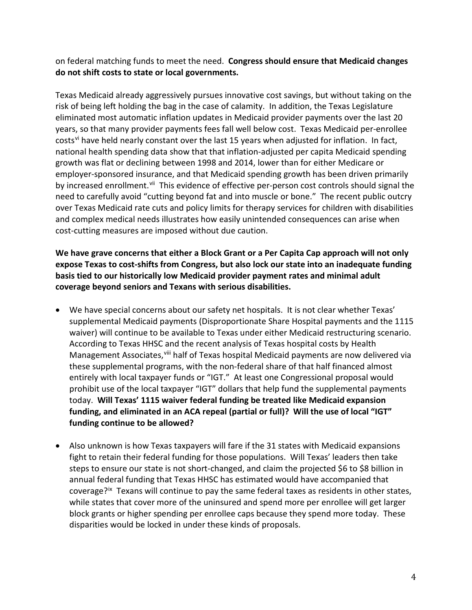on federal matching funds to meet the need. **Congress should ensure that Medicaid changes do not shift costs to state or local governments.** 

Texas Medicaid already aggressively pursues innovative cost savings, but without taking on the risk of being left holding the bag in the case of calamity. In addition, the Texas Legislature eliminated most automatic inflation updates in Medicaid provider payments over the last 20 years, so that many provider payments fees fall well below cost. Texas Medicaid per-enrollee costs<sup>[vi](#page-6-5)</sup> have held nearly constant over the last 15 years when adjusted for inflation. In fact, national health spending data show that that inflation-adjusted per capita Medicaid spending growth was flat or declining between 1998 and 2014, lower than for either Medicare or employer-sponsored insurance, and that Medicaid spending growth has been driven primarily by increased enrollment.<sup>[vii](#page-6-6)</sup> This evidence of effective per-person cost controls should signal the need to carefully avoid "cutting beyond fat and into muscle or bone." The recent public outcry over Texas Medicaid rate cuts and policy limits for therapy services for children with disabilities and complex medical needs illustrates how easily unintended consequences can arise when cost-cutting measures are imposed without due caution.

**We have grave concerns that either a Block Grant or a Per Capita Cap approach will not only expose Texas to cost-shifts from Congress, but also lock our state into an inadequate funding basis tied to our historically low Medicaid provider payment rates and minimal adult coverage beyond seniors and Texans with serious disabilities.** 

- We have special concerns about our safety net hospitals. It is not clear whether Texas' supplemental Medicaid payments (Disproportionate Share Hospital payments and the 1115 waiver) will continue to be available to Texas under either Medicaid restructuring scenario. According to Texas HHSC and the recent analysis of Texas hospital costs by Health Management Associates, Vill half of Texas hospital Medicaid payments are now delivered via these supplemental programs, with the non-federal share of that half financed almost entirely with local taxpayer funds or "IGT." At least one Congressional proposal would prohibit use of the local taxpayer "IGT" dollars that help fund the supplemental payments today. **Will Texas' 1115 waiver federal funding be treated like Medicaid expansion funding, and eliminated in an ACA repeal (partial or full)? Will the use of local "IGT" funding continue to be allowed?**
- Also unknown is how Texas taxpayers will fare if the 31 states with Medicaid expansions fight to retain their federal funding for those populations. Will Texas' leaders then take steps to ensure our state is not short-changed, and claim the projected \$6 to \$8 billion in annual federal funding that Texas HHSC has estimated would have accompanied that coverage?<sup>ix</sup> Texans will continue to pay the same federal taxes as residents in other states, while states that cover more of the uninsured and spend more per enrollee will get larger block grants or higher spending per enrollee caps because they spend more today. These disparities would be locked in under these kinds of proposals.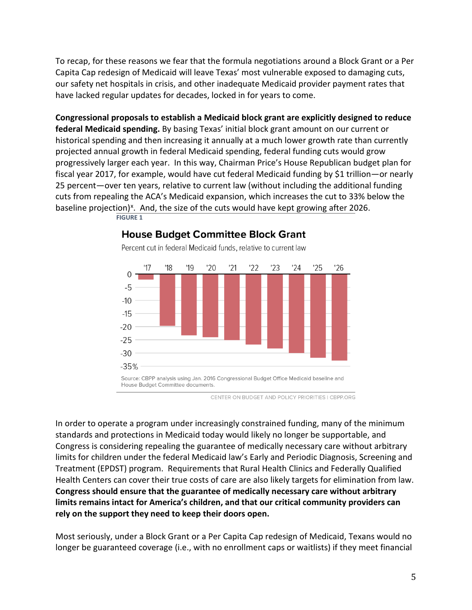To recap, for these reasons we fear that the formula negotiations around a Block Grant or a Per Capita Cap redesign of Medicaid will leave Texas' most vulnerable exposed to damaging cuts, our safety net hospitals in crisis, and other inadequate Medicaid provider payment rates that have lacked regular updates for decades, locked in for years to come.

**Congressional proposals to establish a Medicaid block grant are explicitly designed to reduce federal Medicaid spending.** By basing Texas' initial block grant amount on our current or historical spending and then increasing it annually at a much lower growth rate than currently projected annual growth in federal Medicaid spending, federal funding cuts would grow progressively larger each year. In this way, Chairman Price's House Republican budget plan for fiscal year 2017, for example, would have cut federal Medicaid funding by \$1 trillion—or nearly 25 percent—over ten years, relative to current law (without including the additional funding cuts from repealing the ACA's Medicaid expansion, which increases the cut to 33% below the baseline projection)<sup>[x](#page-6-9)</sup>. And, the size of the cuts would have kept growing after 2026. **[FIGURE 1](http://www.cbpp.org/research/health/medicaid-block-grant-would-slash-federal-funding-shift-costs-to-states-and-leave)**



# **House Budget Committee Block Grant**

Percent cut in federal Medicaid funds, relative to current law

CENTER ON BUDGET AND POLICY PRIORITIES | CBPP.ORG

In order to operate a program under increasingly constrained funding, many of the minimum standards and protections in Medicaid today would likely no longer be supportable, and Congress is considering repealing the guarantee of medically necessary care without arbitrary limits for children under the federal Medicaid law's Early and Periodic Diagnosis, Screening and Treatment (EPDST) program. Requirements that Rural Health Clinics and Federally Qualified Health Centers can cover their true costs of care are also likely targets for elimination from law. **Congress should ensure that the guarantee of medically necessary care without arbitrary limits remains intact for America's children, and that our critical community providers can rely on the support they need to keep their doors open.** 

Most seriously, under a Block Grant or a Per Capita Cap redesign of Medicaid, Texans would no longer be guaranteed coverage (i.e., with no enrollment caps or waitlists) if they meet financial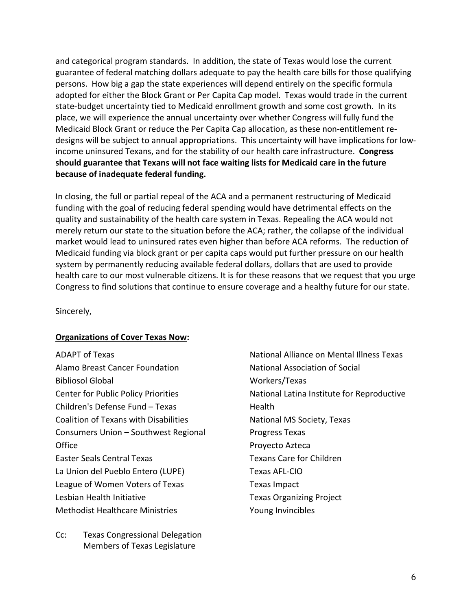and categorical program standards. In addition, the state of Texas would lose the current guarantee of federal matching dollars adequate to pay the health care bills for those qualifying persons. How big a gap the state experiences will depend entirely on the specific formula adopted for either the Block Grant or Per Capita Cap model. Texas would trade in the current state-budget uncertainty tied to Medicaid enrollment growth and some cost growth. In its place, we will experience the annual uncertainty over whether Congress will fully fund the Medicaid Block Grant or reduce the Per Capita Cap allocation, as these non-entitlement redesigns will be subject to annual appropriations. This uncertainty will have implications for lowincome uninsured Texans, and for the stability of our health care infrastructure. **Congress should guarantee that Texans will not face waiting lists for Medicaid care in the future because of inadequate federal funding.** 

In closing, the full or partial repeal of the ACA and a permanent restructuring of Medicaid funding with the goal of reducing federal spending would have detrimental effects on the quality and sustainability of the health care system in Texas. Repealing the ACA would not merely return our state to the situation before the ACA; rather, the collapse of the individual market would lead to uninsured rates even higher than before ACA reforms. The reduction of Medicaid funding via block grant or per capita caps would put further pressure on our health system by permanently reducing available federal dollars, dollars that are used to provide health care to our most vulnerable citizens. It is for these reasons that we request that you urge Congress to find solutions that continue to ensure coverage and a healthy future for our state.

Sincerely,

## **Organizations of Cover Texas Now:**

ADAPT of Texas Alamo Breast Cancer Foundation Bibliosol Global Center for Public Policy Priorities Children's Defense Fund – Texas Coalition of Texans with Disabilities Consumers Union – Southwest Regional **Office** Easter Seals Central Texas La Union del Pueblo Entero (LUPE) League of Women Voters of Texas Lesbian Health Initiative Methodist Healthcare Ministries

Cc: Texas Congressional Delegation Members of Texas Legislature

National Alliance on Mental Illness Texas National Association of Social Workers/Texas National Latina Institute for Reproductive **Health** National MS Society, Texas Progress Texas Proyecto Azteca Texans Care for Children Texas AFL-CIO Texas Impact Texas Organizing Project Young Invincibles